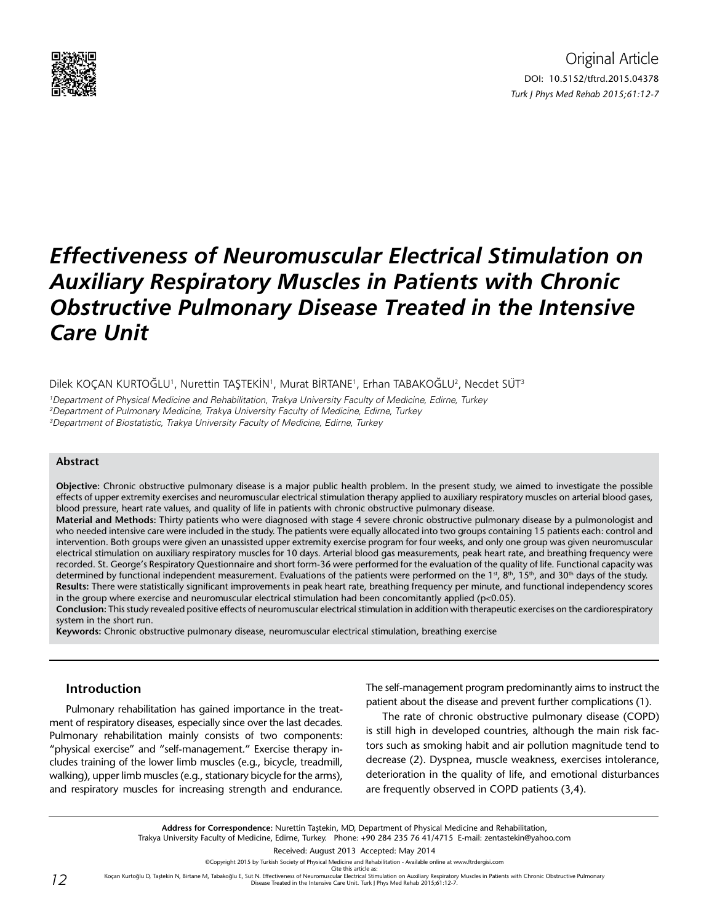

# *Effectiveness of Neuromuscular Electrical Stimulation on Auxiliary Respiratory Muscles in Patients with Chronic Obstructive Pulmonary Disease Treated in the Intensive Care Unit*

Dilek KOÇAN KURTOĞLU', Nurettin TAŞTEKİN', Murat BİRTANE', Erhan TABAKOĞLU<sup>2</sup>, Necdet SÜT<sup>3</sup>

1 Department of Physical Medicine and Rehabilitation, Trakya University Faculty of Medicine, Edirne, Turkey 2 Department of Pulmonary Medicine, Trakya University Faculty of Medicine, Edirne, Turkey 3 Department of Biostatistic, Trakya University Faculty of Medicine, Edirne, Turkey

#### **Abstract**

**Objective:** Chronic obstructive pulmonary disease is a major public health problem. In the present study, we aimed to investigate the possible effects of upper extremity exercises and neuromuscular electrical stimulation therapy applied to auxiliary respiratory muscles on arterial blood gases, blood pressure, heart rate values, and quality of life in patients with chronic obstructive pulmonary disease.

**Material and Methods:** Thirty patients who were diagnosed with stage 4 severe chronic obstructive pulmonary disease by a pulmonologist and who needed intensive care were included in the study. The patients were equally allocated into two groups containing 15 patients each: control and intervention. Both groups were given an unassisted upper extremity exercise program for four weeks, and only one group was given neuromuscular electrical stimulation on auxiliary respiratory muscles for 10 days. Arterial blood gas measurements, peak heart rate, and breathing frequency were recorded. St. George's Respiratory Questionnaire and short form-36 were performed for the evaluation of the quality of life. Functional capacity was determined by functional independent measurement. Evaluations of the patients were performed on the 1<sup>st</sup>, 8<sup>th</sup>, 15<sup>th</sup>, and 30<sup>th</sup> days of the study. **Results:** There were statistically significant improvements in peak heart rate, breathing frequency per minute, and functional independency scores in the group where exercise and neuromuscular electrical stimulation had been concomitantly applied ( $p<0.05$ ).

**Conclusion:** This study revealed positive effects of neuromuscular electrical stimulation in addition with therapeutic exercises on the cardiorespiratory system in the short run.

**Keywords:** Chronic obstructive pulmonary disease, neuromuscular electrical stimulation, breathing exercise

### **Introduction**

Pulmonary rehabilitation has gained importance in the treatment of respiratory diseases, especially since over the last decades. Pulmonary rehabilitation mainly consists of two components: "physical exercise" and "self-management." Exercise therapy includes training of the lower limb muscles (e.g., bicycle, treadmill, walking), upper limb muscles (e.g., stationary bicycle for the arms), and respiratory muscles for increasing strength and endurance. The self-management program predominantly aims to instruct the patient about the disease and prevent further complications (1).

The rate of chronic obstructive pulmonary disease (COPD) is still high in developed countries, although the main risk factors such as smoking habit and air pollution magnitude tend to decrease (2). Dyspnea, muscle weakness, exercises intolerance, deterioration in the quality of life, and emotional disturbances are frequently observed in COPD patients (3,4).

**Address for Correspondence:** Nurettin Taştekin, MD, Department of Physical Medicine and Rehabilitation, Trakya University Faculty of Medicine, Edirne, Turkey. Phone: +90 284 235 76 41/4715 E-mail: zentastekin@yahoo.com

Received: August 2013 Accepted: May 2014

©Copyright 2015 by Turkish Society of Physical Medicine and Rehabilitation - Available online at www.ftrdergisi.com

Cite this article as:

Koçan Kurtoğlu D, Taştekin N, Birtane M, Tabakoğlu E, Süt N. Effectiveness of Neuromuscular Electrical Stimulation on Auxiliary Respiratory Muscles in Patients with Chronic Obstructive Pulmonary<br>Disease Treated in the Inte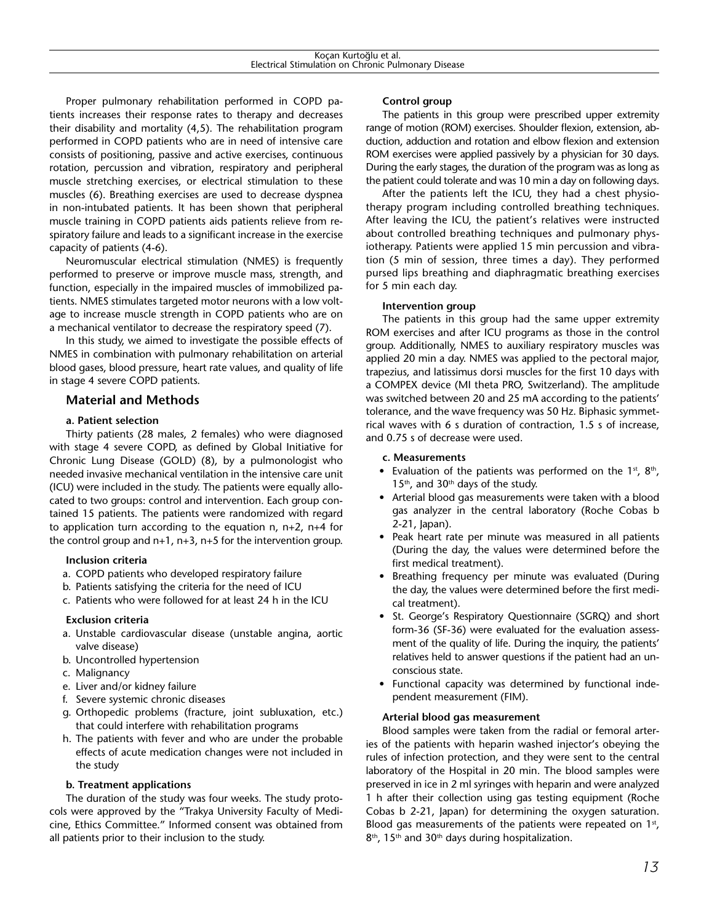Proper pulmonary rehabilitation performed in COPD patients increases their response rates to therapy and decreases their disability and mortality (4,5). The rehabilitation program performed in COPD patients who are in need of intensive care consists of positioning, passive and active exercises, continuous rotation, percussion and vibration, respiratory and peripheral muscle stretching exercises, or electrical stimulation to these muscles (6). Breathing exercises are used to decrease dyspnea in non-intubated patients. It has been shown that peripheral muscle training in COPD patients aids patients relieve from respiratory failure and leads to a significant increase in the exercise capacity of patients (4-6).

Neuromuscular electrical stimulation (NMES) is frequently performed to preserve or improve muscle mass, strength, and function, especially in the impaired muscles of immobilized patients. NMES stimulates targeted motor neurons with a low voltage to increase muscle strength in COPD patients who are on a mechanical ventilator to decrease the respiratory speed (7).

In this study, we aimed to investigate the possible effects of NMES in combination with pulmonary rehabilitation on arterial blood gases, blood pressure, heart rate values, and quality of life in stage 4 severe COPD patients.

# **Material and Methods**

### **a. Patient selection**

Thirty patients (28 males, 2 females) who were diagnosed with stage 4 severe COPD, as defined by Global Initiative for Chronic Lung Disease (GOLD) (8), by a pulmonologist who needed invasive mechanical ventilation in the intensive care unit (ICU) were included in the study. The patients were equally allocated to two groups: control and intervention. Each group contained 15 patients. The patients were randomized with regard to application turn according to the equation n, n+2, n+4 for the control group and  $n+1$ ,  $n+3$ ,  $n+5$  for the intervention group.

#### **Inclusion criteria**

- a. COPD patients who developed respiratory failure
- b. Patients satisfying the criteria for the need of ICU
- c. Patients who were followed for at least 24 h in the ICU

#### **Exclusion criteria**

- a. Unstable cardiovascular disease (unstable angina, aortic valve disease)
- b. Uncontrolled hypertension
- c. Malignancy
- e. Liver and/or kidney failure
- f. Severe systemic chronic diseases
- g. Orthopedic problems (fracture, joint subluxation, etc.) that could interfere with rehabilitation programs
- h. The patients with fever and who are under the probable effects of acute medication changes were not included in the study

# **b. Treatment applications**

The duration of the study was four weeks. The study protocols were approved by the "Trakya University Faculty of Medicine, Ethics Committee." Informed consent was obtained from all patients prior to their inclusion to the study.

# **Control group**

The patients in this group were prescribed upper extremity range of motion (ROM) exercises. Shoulder flexion, extension, abduction, adduction and rotation and elbow flexion and extension ROM exercises were applied passively by a physician for 30 days. During the early stages, the duration of the program was as long as the patient could tolerate and was 10 min a day on following days.

After the patients left the ICU, they had a chest physiotherapy program including controlled breathing techniques. After leaving the ICU, the patient's relatives were instructed about controlled breathing techniques and pulmonary physiotherapy. Patients were applied 15 min percussion and vibration (5 min of session, three times a day). They performed pursed lips breathing and diaphragmatic breathing exercises for 5 min each day.

#### **Intervention group**

The patients in this group had the same upper extremity ROM exercises and after ICU programs as those in the control group. Additionally, NMES to auxiliary respiratory muscles was applied 20 min a day. NMES was applied to the pectoral major, trapezius, and latissimus dorsi muscles for the first 10 days with a COMPEX device (MI theta PRO, Switzerland). The amplitude was switched between 20 and 25 mA according to the patients' tolerance, and the wave frequency was 50 Hz. Biphasic symmetrical waves with 6 s duration of contraction, 1.5 s of increase, and 0.75 s of decrease were used.

#### **c. Measurements**

- Evaluation of the patients was performed on the 1<sup>st</sup>, 8<sup>th</sup>,  $15<sup>th</sup>$ , and  $30<sup>th</sup>$  days of the study.
- Arterial blood gas measurements were taken with a blood gas analyzer in the central laboratory (Roche Cobas b 2-21, Japan).
- Peak heart rate per minute was measured in all patients (During the day, the values were determined before the first medical treatment).
- Breathing frequency per minute was evaluated (During the day, the values were determined before the first medical treatment).
- St. George's Respiratory Questionnaire (SGRQ) and short form-36 (SF-36) were evaluated for the evaluation assessment of the quality of life. During the inquiry, the patients' relatives held to answer questions if the patient had an unconscious state.
- Functional capacity was determined by functional independent measurement (FIM).

#### **Arterial blood gas measurement**

Blood samples were taken from the radial or femoral arteries of the patients with heparin washed injector's obeying the rules of infection protection, and they were sent to the central laboratory of the Hospital in 20 min. The blood samples were preserved in ice in 2 ml syringes with heparin and were analyzed 1 h after their collection using gas testing equipment (Roche Cobas b 2-21, Japan) for determining the oxygen saturation. Blood gas measurements of the patients were repeated on  $1<sup>st</sup>$ , 8<sup>th</sup>, 15<sup>th</sup> and 30<sup>th</sup> days during hospitalization.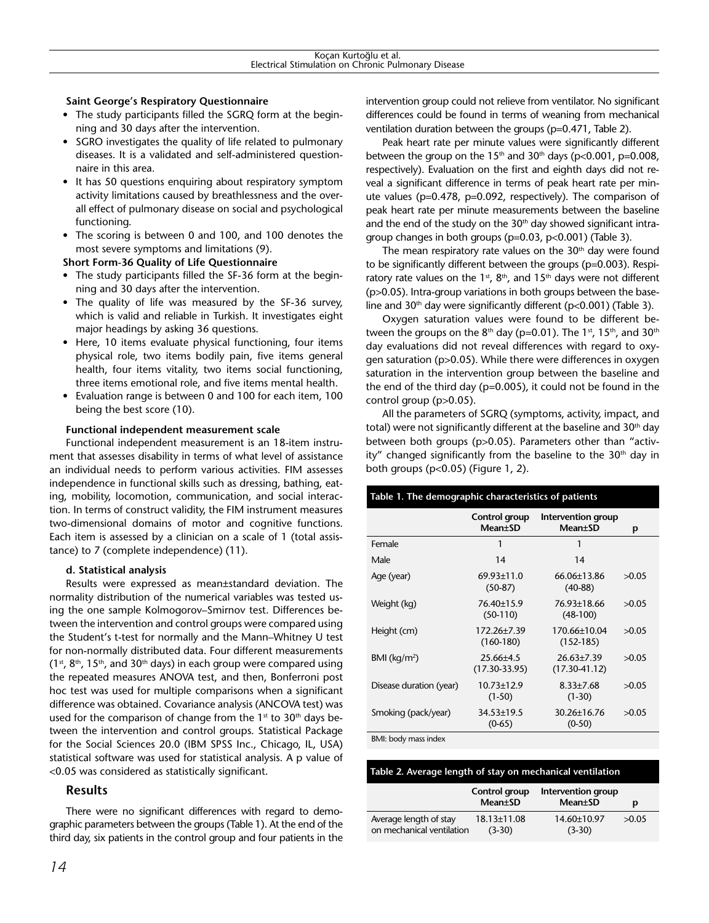### **Saint George's Respiratory Questionnaire**

- The study participants filled the SGRQ form at the beginning and 30 days after the intervention.
- SGRO investigates the quality of life related to pulmonary diseases. It is a validated and self-administered questionnaire in this area.
- It has 50 questions enquiring about respiratory symptom activity limitations caused by breathlessness and the overall effect of pulmonary disease on social and psychological functioning.
- The scoring is between 0 and 100, and 100 denotes the most severe symptoms and limitations (9).

**Short Form-36 Quality of Life Questionnaire**

- The study participants filled the SF-36 form at the beginning and 30 days after the intervention.
- The quality of life was measured by the SF-36 survey, which is valid and reliable in Turkish. It investigates eight major headings by asking 36 questions.
- Here, 10 items evaluate physical functioning, four items physical role, two items bodily pain, five items general health, four items vitality, two items social functioning, three items emotional role, and five items mental health.
- Evaluation range is between 0 and 100 for each item, 100 being the best score (10).

#### **Functional independent measurement scale**

Functional independent measurement is an 18-item instrument that assesses disability in terms of what level of assistance an individual needs to perform various activities. FIM assesses independence in functional skills such as dressing, bathing, eating, mobility, locomotion, communication, and social interaction. In terms of construct validity, the FIM instrument measures two-dimensional domains of motor and cognitive functions. Each item is assessed by a clinician on a scale of 1 (total assistance) to 7 (complete independence) (11).

#### **d. Statistical analysis**

Results were expressed as mean±standard deviation. The normality distribution of the numerical variables was tested using the one sample Kolmogorov–Smirnov test. Differences between the intervention and control groups were compared using the Student's t-test for normally and the Mann–Whitney U test for non-normally distributed data. Four different measurements  $(1<sup>st</sup>, 8<sup>th</sup>, 15<sup>th</sup>,$  and 30<sup>th</sup> days) in each group were compared using the repeated measures ANOVA test, and then, Bonferroni post hoc test was used for multiple comparisons when a significant difference was obtained. Covariance analysis (ANCOVA test) was used for the comparison of change from the  $1<sup>st</sup>$  to  $30<sup>th</sup>$  days between the intervention and control groups. Statistical Package for the Social Sciences 20.0 (IBM SPSS Inc., Chicago, IL, USA) statistical software was used for statistical analysis. A p value of <0.05 was considered as statistically significant.

#### **Results**

There were no significant differences with regard to demographic parameters between the groups (Table 1). At the end of the third day, six patients in the control group and four patients in the intervention group could not relieve from ventilator. No significant differences could be found in terms of weaning from mechanical ventilation duration between the groups (p=0.471, Table 2).

Peak heart rate per minute values were significantly different between the group on the 15<sup>th</sup> and 30<sup>th</sup> days (p<0.001, p=0.008, respectively). Evaluation on the first and eighth days did not reveal a significant difference in terms of peak heart rate per minute values (p=0.478, p=0.092, respectively). The comparison of peak heart rate per minute measurements between the baseline and the end of the study on the  $30<sup>th</sup>$  day showed significant intragroup changes in both groups (p=0.03, p<0.001) (Table 3).

The mean respiratory rate values on the  $30<sup>th</sup>$  day were found to be significantly different between the groups (p=0.003). Respiratory rate values on the  $1<sup>st</sup>$ ,  $8<sup>th</sup>$ , and  $15<sup>th</sup>$  days were not different (p>0.05). Intra-group variations in both groups between the baseline and 30<sup>th</sup> day were significantly different ( $p<0.001$ ) (Table 3).

Oxygen saturation values were found to be different between the groups on the  $8<sup>th</sup>$  day (p=0.01). The 1<sup>st</sup>, 15<sup>th</sup>, and 30<sup>th</sup> day evaluations did not reveal differences with regard to oxygen saturation (p>0.05). While there were differences in oxygen saturation in the intervention group between the baseline and the end of the third day (p=0.005), it could not be found in the control group (p>0.05).

All the parameters of SGRQ (symptoms, activity, impact, and total) were not significantly different at the baseline and 30<sup>th</sup> day between both groups (p>0.05). Parameters other than "activity" changed significantly from the baseline to the  $30<sup>th</sup>$  day in both groups (p<0.05) (Figure 1, 2).

| Table 1. The demographic characteristics of patients |                                    |                                       |       |  |  |
|------------------------------------------------------|------------------------------------|---------------------------------------|-------|--|--|
|                                                      | Control group<br><b>Mean</b> ±SD   | Intervention group<br><b>Mean</b> ±SD | p     |  |  |
| Female                                               | 1                                  | 1                                     |       |  |  |
| Male                                                 | 14                                 | 14                                    |       |  |  |
| Age (year)                                           | $69.93 + 11.0$<br>$(50-87)$        | $66.06\pm13.86$<br>$(40-88)$          | >0.05 |  |  |
| Weight (kg)                                          | 76.40±15.9<br>$(50-110)$           | 76.93±18.66<br>$(48-100)$             | >0.05 |  |  |
| Height (cm)                                          | 172.26±7.39<br>$(160-180)$         | 170.66±10.04<br>$(152-185)$           | >0.05 |  |  |
| $BMl$ (kg/m <sup>2</sup> )                           | $25.66\pm4.5$<br>$(17.30 - 33.95)$ | $26.63 \pm 7.39$<br>$(17.30 - 41.12)$ | >0.05 |  |  |
| Disease duration (year)                              | $10.73 \pm 12.9$<br>$(1-50)$       | $8.33 \pm 7.68$<br>$(1-30)$           | >0.05 |  |  |
| Smoking (pack/year)                                  | $34.53 \pm 19.5$<br>$(0-65)$       | $30.26 \pm 16.76$<br>$(0-50)$         | >0.05 |  |  |

BMI: body mass index

| Table 2. Average length of stav on mechanical ventilation |  |  |
|-----------------------------------------------------------|--|--|
|                                                           |  |  |

|                           | Control group<br>Mean±SD | Intervention group<br>Mean±SD | D     |
|---------------------------|--------------------------|-------------------------------|-------|
| Average length of stay    | $18.13 \pm 11.08$        | 14.60±10.97                   | >0.05 |
| on mechanical ventilation | $(3-30)$                 | $(3-30)$                      |       |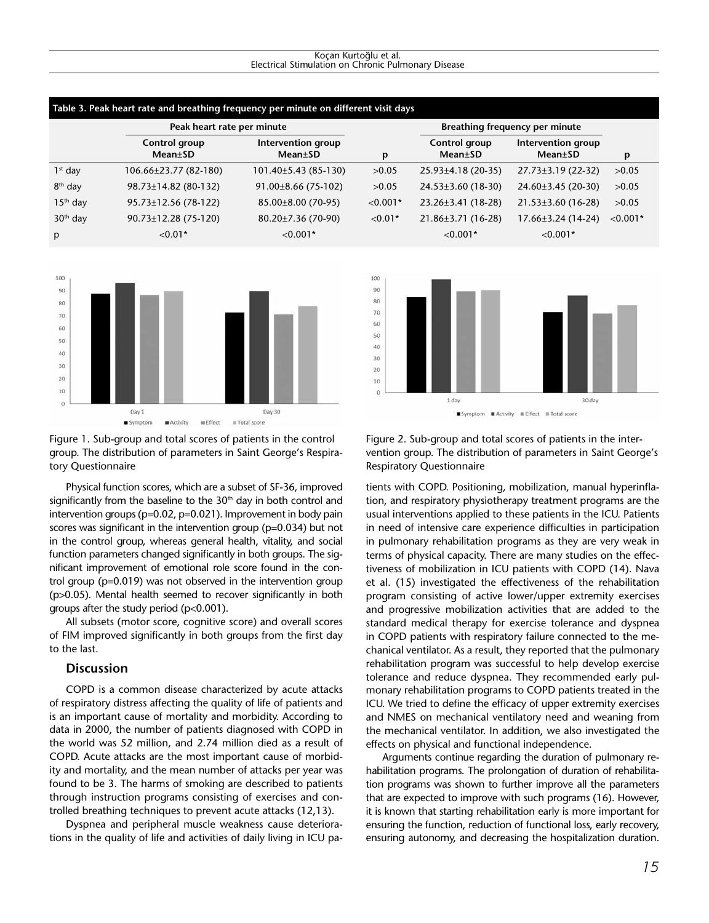#### Koçan Kurtoğlu et al. Electrical Stimulation on Chronic Pulmonary Disease

| Table 3. Peak heart rate and breathing frequency per minute on different visit days |                            |                                       |            |                                  |                                       |            |
|-------------------------------------------------------------------------------------|----------------------------|---------------------------------------|------------|----------------------------------|---------------------------------------|------------|
|                                                                                     | Peak heart rate per minute |                                       |            | Breathing frequency per minute   |                                       |            |
|                                                                                     | Control group<br>Mean±SD   | Intervention group<br><b>Mean</b> ±SD | p          | Control group<br><b>Mean</b> ±SD | Intervention group<br><b>Mean</b> ±SD | p          |
| $1st$ day                                                                           | $106.66\pm23.77(82-180)$   | 101.40±5.43 (85-130)                  | >0.05      | $25.93\pm4.18$ (20-35)           | 27.73±3.19 (22-32)                    | >0.05      |
| 8 <sup>th</sup> day                                                                 | 98.73±14.82 (80-132)       | $91.00\pm8.66$ (75-102)               | >0.05      | $24.53\pm3.60$ (18-30)           | 24.60±3.45 (20-30)                    | >0.05      |
| $15th$ day                                                                          | 95.73±12.56 (78-122)       | $85.00\pm8.00$ (70-95)                | $< 0.001*$ | $23.26 \pm 3.41$ (18-28)         | $21.53\pm3.60(16-28)$                 | >0.05      |
| $30th$ day                                                                          | 90.73±12.28 (75-120)       | 80.20±7.36 (70-90)                    | $< 0.01*$  | $21.86 \pm 3.71$ (16-28)         | $17.66\pm3.24(14-24)$                 | $< 0.001*$ |
| p                                                                                   | $< 0.01*$                  | $< 0.001*$                            |            | $< 0.001*$                       | $< 0.001*$                            |            |
|                                                                                     |                            |                                       |            |                                  |                                       |            |



Figure 1. Sub-group and total scores of patients in the control group. The distribution of parameters in Saint George's Respiratory Questionnaire

Physical function scores, which are a subset of SF-36, improved significantly from the baseline to the  $30<sup>th</sup>$  day in both control and intervention groups (p=0.02, p=0.021). Improvement in body pain scores was significant in the intervention group (p=0.034) but not in the control group, whereas general health, vitality, and social function parameters changed significantly in both groups. The significant improvement of emotional role score found in the control group (p=0.019) was not observed in the intervention group (p>0.05). Mental health seemed to recover significantly in both groups after the study period (p<0.001).

All subsets (motor score, cognitive score) and overall scores of FIM improved significantly in both groups from the first day to the last.

# **Discussion**

COPD is a common disease characterized by acute attacks of respiratory distress affecting the quality of life of patients and is an important cause of mortality and morbidity. According to data in 2000, the number of patients diagnosed with COPD in the world was 52 million, and 2.74 million died as a result of COPD. Acute attacks are the most important cause of morbidity and mortality, and the mean number of attacks per year was found to be 3. The harms of smoking are described to patients through instruction programs consisting of exercises and controlled breathing techniques to prevent acute attacks (12,13).

Dyspnea and peripheral muscle weakness cause deteriorations in the quality of life and activities of daily living in ICU pa-



Figure 2. Sub-group and total scores of patients in the intervention group. The distribution of parameters in Saint George's Respiratory Questionnaire

tients with COPD. Positioning, mobilization, manual hyperinflation, and respiratory physiotherapy treatment programs are the usual interventions applied to these patients in the ICU. Patients in need of intensive care experience difficulties in participation in pulmonary rehabilitation programs as they are very weak in terms of physical capacity. There are many studies on the effectiveness of mobilization in ICU patients with COPD (14). Nava et al. (15) investigated the effectiveness of the rehabilitation program consisting of active lower/upper extremity exercises and progressive mobilization activities that are added to the standard medical therapy for exercise tolerance and dyspnea in COPD patients with respiratory failure connected to the mechanical ventilator. As a result, they reported that the pulmonary rehabilitation program was successful to help develop exercise tolerance and reduce dyspnea. They recommended early pulmonary rehabilitation programs to COPD patients treated in the ICU. We tried to define the efficacy of upper extremity exercises and NMES on mechanical ventilatory need and weaning from the mechanical ventilator. In addition, we also investigated the effects on physical and functional independence.

Arguments continue regarding the duration of pulmonary rehabilitation programs. The prolongation of duration of rehabilitation programs was shown to further improve all the parameters that are expected to improve with such programs (16). However, it is known that starting rehabilitation early is more important for ensuring the function, reduction of functional loss, early recovery, ensuring autonomy, and decreasing the hospitalization duration.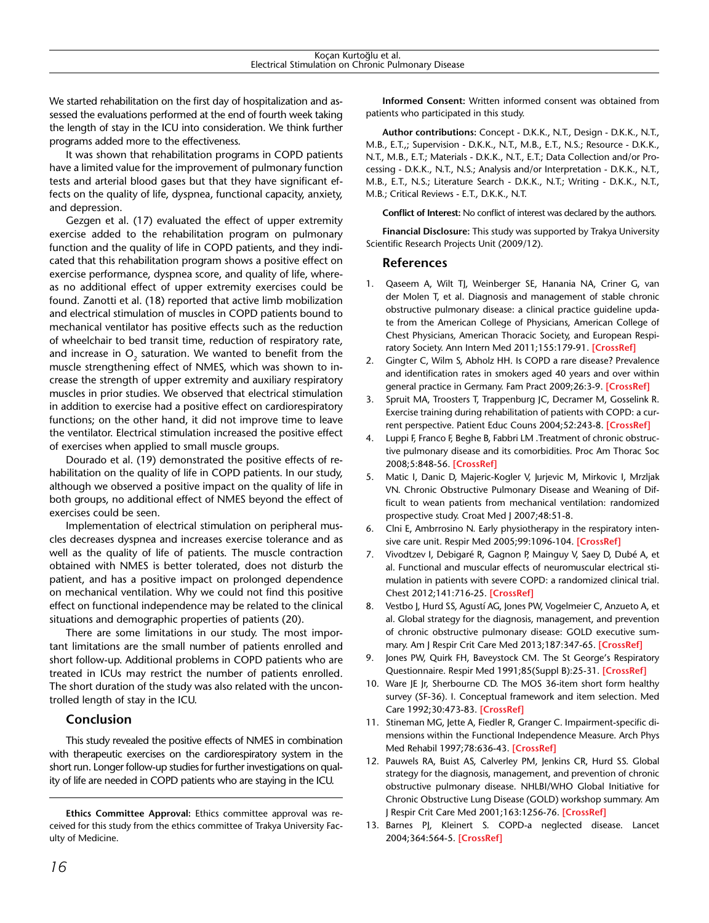We started rehabilitation on the first day of hospitalization and assessed the evaluations performed at the end of fourth week taking the length of stay in the ICU into consideration. We think further programs added more to the effectiveness.

It was shown that rehabilitation programs in COPD patients have a limited value for the improvement of pulmonary function tests and arterial blood gases but that they have significant effects on the quality of life, dyspnea, functional capacity, anxiety, and depression.

Gezgen et al. (17) evaluated the effect of upper extremity exercise added to the rehabilitation program on pulmonary function and the quality of life in COPD patients, and they indicated that this rehabilitation program shows a positive effect on exercise performance, dyspnea score, and quality of life, whereas no additional effect of upper extremity exercises could be found. Zanotti et al. (18) reported that active limb mobilization and electrical stimulation of muscles in COPD patients bound to mechanical ventilator has positive effects such as the reduction of wheelchair to bed transit time, reduction of respiratory rate, and increase in O<sub>2</sub> saturation. We wanted to benefit from the muscle strengthening effect of NMES, which was shown to increase the strength of upper extremity and auxiliary respiratory muscles in prior studies. We observed that electrical stimulation in addition to exercise had a positive effect on cardiorespiratory functions; on the other hand, it did not improve time to leave the ventilator. Electrical stimulation increased the positive effect of exercises when applied to small muscle groups.

Dourado et al. (19) demonstrated the positive effects of rehabilitation on the quality of life in COPD patients. In our study, although we observed a positive impact on the quality of life in both groups, no additional effect of NMES beyond the effect of exercises could be seen.

Implementation of electrical stimulation on peripheral muscles decreases dyspnea and increases exercise tolerance and as well as the quality of life of patients. The muscle contraction obtained with NMES is better tolerated, does not disturb the patient, and has a positive impact on prolonged dependence on mechanical ventilation. Why we could not find this positive effect on functional independence may be related to the clinical situations and demographic properties of patients (20).

There are some limitations in our study. The most important limitations are the small number of patients enrolled and short follow-up. Additional problems in COPD patients who are treated in ICUs may restrict the number of patients enrolled. The short duration of the study was also related with the uncontrolled length of stay in the ICU.

# **Conclusion**

This study revealed the positive effects of NMES in combination with therapeutic exercises on the cardiorespiratory system in the short run. Longer follow-up studies for further investigations on quality of life are needed in COPD patients who are staying in the ICU.

**Ethics Committee Approval:** Ethics committee approval was received for this study from the ethics committee of Trakya University Faculty of Medicine.

**Informed Consent:** Written informed consent was obtained from patients who participated in this study.

**Author contributions:** Concept - D.K.K., N.T., Design - D.K.K., N.T., M.B., E.T.,; Supervision - D.K.K., N.T., M.B., E.T., N.S.; Resource - D.K.K., N.T., M.B., E.T.; Materials - D.K.K., N.T., E.T.; Data Collection and/or Processing - D.K.K., N.T., N.S.; Analysis and/or Interpretation - D.K.K., N.T., M.B., E.T., N.S.; Literature Search - D.K.K., N.T.; Writing - D.K.K., N.T., M.B.; Critical Reviews - E.T., D.K.K., N.T.

**Conflict of Interest:** No conflict of interest was declared by the authors.

**Financial Disclosure:** This study was supported by Trakya University Scientific Research Projects Unit (2009/12).

# **References**

- 1. Qaseem A, Wilt TJ, Weinberger SE, Hanania NA, Criner G, van der Molen T, et al. Diagnosis and management of stable chronic obstructive pulmonary disease: a clinical practice guideline update from the American College of Physicians, American College of Chest Physicians, American Thoracic Society, and European Respiratory Society. Ann Intern Med 2011;155:179-91. **[\[CrossRef\]](http://dx.doi.org/10.7326/0003-4819-155-3-201108020-00008)**
- 2. Gingter C, Wilm S, Abholz HH. Is COPD a rare disease? Prevalence and identification rates in smokers aged 40 years and over within general practice in Germany. Fam Pract 2009;26:3-9. **[\[CrossRef\]](http://dx.doi.org/10.1093/fampra/cmn084)**
- 3. Spruit MA, Troosters T, Trappenburg JC, Decramer M, Gosselink R. Exercise training during rehabilitation of patients with COPD: a current perspective. Patient Educ Couns 2004;52:243-8. **[\[CrossRef\]](http://dx.doi.org/10.1016/S0738-3991(03)00098-3)**
- 4. Luppi F, Franco F, Beghe B, Fabbri LM .Treatment of chronic obstructive pulmonary disease and its comorbidities. Proc Am Thorac Soc 2008;5:848-56. **[\[CrossRef\]](4. Luppi F, Franco F, Beghe B, Fabbri LM .Treatment of chronic obstructive pulmonary disease and its comorbidities. Proc Am Thorac Soc 2008;5:848-56.
http://dx.doi.org/10.1513/pats.200809-101TH
)**
- 5. Matic I, Danic D, Majeric-Kogler V, Jurjevic M, Mirkovic I, Mrzljak VN. Chronic Obstructive Pulmonary Disease and Weaning of Difficult to wean patients from mechanical ventilation: randomized prospective study. Croat Med J 2007;48:51-8.
- 6. Clni E, Ambrrosino N. Early physiotherapy in the respiratory intensive care unit. Respir Med 2005;99:1096-104. **[\[CrossRef\]](http://dx.doi.org/10.1016/j.rmed.2005.02.024)**
- 7. Vivodtzev I, Debigaré R, Gagnon P, Mainguy V, Saey D, Dubé A, et al. Functional and muscular effects of neuromuscular electrical stimulation in patients with severe COPD: a randomized clinical trial. Chest 2012;141:716-25. **[\[CrossRef\]](7. Vivodtzev I, Debigaré R, Gagnon P, Mainguy V, Saey D, Dubé A, et al. Functional and muscular effects of neuromuscular electrical stimulation in patients with severe COPD: a randomized clinical trial. Chest 2012;141:716-25.
http://dx.doi.org/10.1378/chest.11-0839
)**
- 8. Vestbo J, Hurd SS, Agustí AG, Jones PW, Vogelmeier C, Anzueto A, et al. Global strategy for the diagnosis, management, and prevention of chronic obstructive pulmonary disease: GOLD executive summary. Am J Respir Crit Care Med 2013;187:347-65. **[\[CrossRef\]](http://dx.doi.org/10.1164/rccm.201204-0596PP)**
- 9. Jones PW, Quirk FH, Baveystock CM. The St George's Respiratory Questionnaire. Respir Med 1991;85(Suppl B):25-31. **[\[CrossRef\]](http://dx.doi.org/10.1016/S0954-6111(06)80277-5)**
- 10. Ware JE Jr, Sherbourne CD. The MOS 36-item short form healthy survey (SF-36). I. Conceptual framework and item selection. Med Care 1992;30:473-83. **[\[CrossRef\]](http://dx.doi.org/10.1097/00005650-199206000-00002)**
- 11. Stineman MG, Jette A, Fiedler R, Granger C. Impairment-specific dimensions within the Functional Independence Measure. Arch Phys Med Rehabil 1997;78:636-43. **[\[CrossRef\]](http://dx.doi.org/10.1016/S0003-9993(97)90430-5)**
- 12. Pauwels RA, Buist AS, Calverley PM, Jenkins CR, Hurd SS. Global strategy for the diagnosis, management, and prevention of chronic obstructive pulmonary disease. NHLBI/WHO Global Initiative for Chronic Obstructive Lung Disease (GOLD) workshop summary. Am J Respir Crit Care Med 2001;163:1256-76. **[\[CrossRef\]](http://dx.doi.org/10.1164/ajrccm.163.5.2101039)**
- 13. Barnes PJ, Kleinert S. COPD-a neglected disease. Lancet 2004;364:564-5. **[\[CrossRef\]](http://dx.doi.org/10.1016/S0140-6736(04)16866-9)**